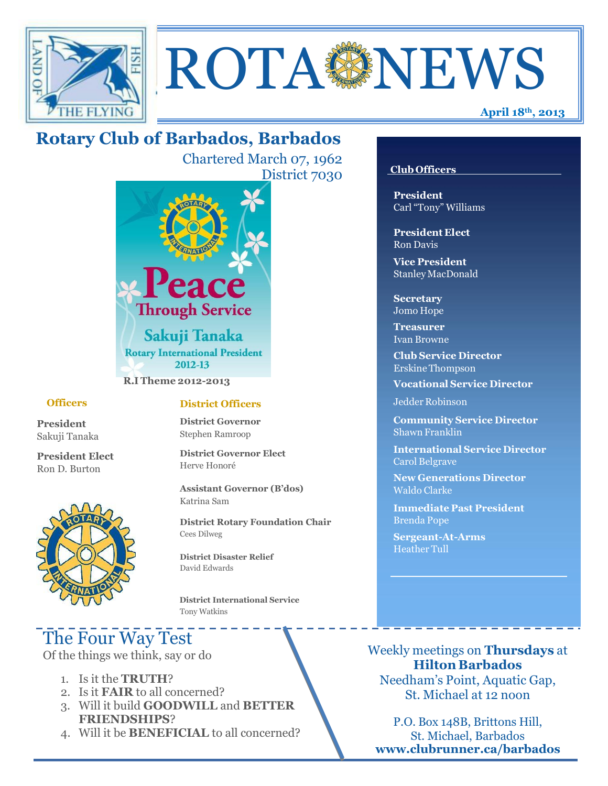

# ROTA NEWS

## **Rotary Club of Barbados, Barbados**

Chartered March 07, 1962 District 7030



#### **Officers**

**President** Sakuji Tanaka

**President Elect** Ron D. Burton



## **District Officers**

**District Governor** Stephen Ramroop

**District Governor Elect** Herve Honoré

**Assistant Governor (B'dos)** Katrina Sam

**District Rotary Foundation Chair** Cees Dilweg

**District Disaster Relief**  David Edwards

 **District International Service** Tony Watkins

## The Four Way Test

Of the things we think, say or do

- 1. Is it the **TRUTH**?
- 2. Is it **FAIR** to all concerned?
- 3. Will it build **GOODWILL** and **BETTER FRIENDSHIPS**?
- 4. Will it be **BENEFICIAL** to all concerned?

#### **Club Officers**

**President** Carl "Tony" Williams

**President Elect** Ron Davis

**Vice President** StanleyMacDonald

**Secretary** Jomo Hope

**Treasurer** Ivan Browne

**Club Service Director** Erskine Thompson

**Vocational Service Director**

Jedder Robinson

**Community Service Director** Shawn Franklin

**International Service Director** Carol Belgrave

**New Generations Director** Waldo Clarke

**Immediate Past President** Brenda Pope

**Sergeant-At-Arms** Heather Tull

Weekly meetings on **Thursdays** at **Hilton Barbados** Needham's Point, Aquatic Gap, St. Michael at 12 noon

P.O. Box 148B, Brittons Hill, St. Michael, Barbados **[www.clubrunner.ca/barbados](http://www.clubrunner.ca/barbados)**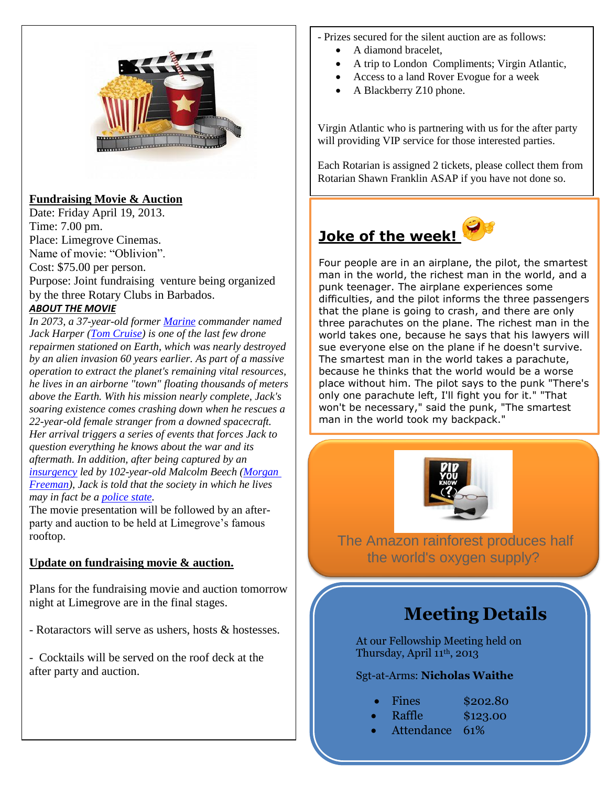

## **Fundraising Movie & Auction**

Date: Friday April 19, 2013. Time: 7.00 pm. Place: Limegrove Cinemas. Name of movie: "Oblivion". Cost: \$75.00 per person. Purpose: Joint fundraising venture being organized by the three Rotary Clubs in Barbados. *ABOUT THE MOVIE*

*In 2073, a 37-year-old former [Marine](http://en.wikipedia.org/wiki/Marine_%28military%29) commander named Jack Harper [\(Tom Cruise\)](http://en.wikipedia.org/wiki/Tom_Cruise) is one of the last few drone repairmen stationed on Earth, which was nearly destroyed by an alien invasion 60 years earlier. As part of a massive operation to extract the planet's remaining vital resources, he lives in an airborne "town" floating thousands of meters above the Earth. With his mission nearly complete, Jack's soaring existence comes crashing down when he rescues a 22-year-old female stranger from a downed spacecraft. Her arrival triggers a series of events that forces Jack to question everything he knows about the war and its aftermath. In addition, after being captured by an [insurgency](http://en.wikipedia.org/wiki/Insurgency) led by 102-year-old Malcolm Beech [\(Morgan](http://en.wikipedia.org/wiki/Morgan_Freeman)  [Freeman\)](http://en.wikipedia.org/wiki/Morgan_Freeman), Jack is told that the society in which he lives may in fact be a [police state.](http://en.wikipedia.org/wiki/Police_state)*

The movie presentation will be followed by an afterparty and auction to be held at Limegrove's famous rooftop.

## **Update on fundraising movie & auction.**

Plans for the fundraising movie and auction tomorrow night at Limegrove are in the final stages.

- Rotaractors will serve as ushers, hosts & hostesses.

- Cocktails will be served on the roof deck at the after party and auction.

- Prizes secured for the silent auction are as follows:
	- A diamond bracelet,
	- A trip to London Compliments; Virgin Atlantic,
	- Access to a land Rover Evogue for a week
	- A Blackberry Z10 phone.

Virgin Atlantic who is partnering with us for the after party will providing VIP service for those interested parties.

Each Rotarian is assigned 2 tickets, please collect them from Rotarian Shawn Franklin ASAP if you have not done so.

## **Joke of the week!**

Four people are in an airplane, the pilot, the smartest man in the world, the richest man in the world, and a punk teenager. The airplane experiences some difficulties, and the pilot informs the three passengers that the plane is going to crash, and there are only three parachutes on the plane. The richest man in the world takes one, because he says that his lawyers will sue everyone else on the plane if he doesn't survive. The smartest man in the world takes a parachute, because he thinks that the world would be a worse place without him. The pilot says to the punk "There's only one parachute left, I'll fight you for it." "That won't be necessary," said the punk, "The smartest man in the world took my backpack."



The Amazon rainforest produces half the world's oxygen supply?

## **Meeting Details**

At our Fellowship Meeting held on Thursday, April 11th, 2013

#### Sgt-at-Arms: **Nicholas Waithe**

|  | Fines | \$202.80 |
|--|-------|----------|
|--|-------|----------|

- Raffle \$123.00
- Attendance 61%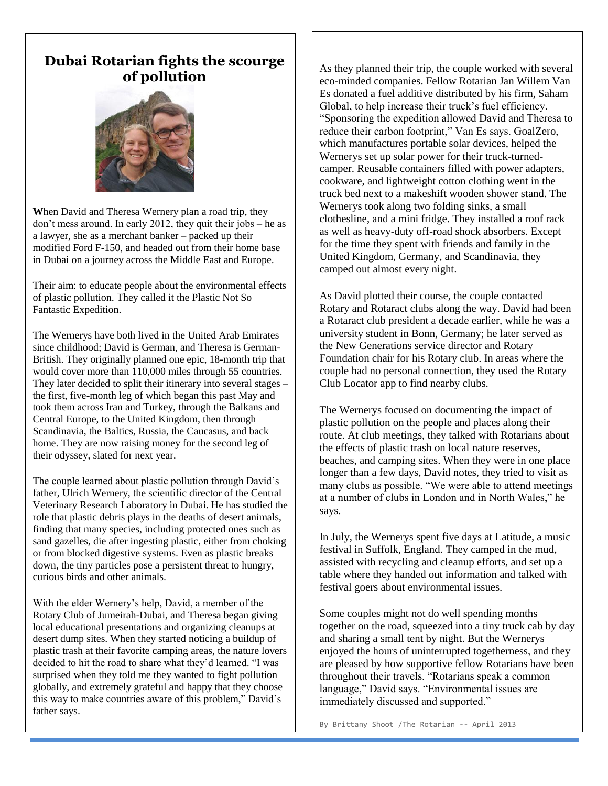## **Dubai Rotarian fights the scourge of pollution**



**W**hen David and Theresa Wernery plan a road trip, they don't mess around. In early 2012, they quit their jobs – he as a lawyer, she as a merchant banker – packed up their modified Ford F-150, and headed out from their home base in Dubai on a journey across the Middle East and Europe.

Their aim: to educate people about the environmental effects of plastic pollution. They called it the Plastic Not So Fantastic Expedition.

The Wernerys have both lived in the United Arab Emirates since childhood; David is German, and Theresa is German-British. They originally planned one epic, 18-month trip that would cover more than 110,000 miles through 55 countries. They later decided to split their itinerary into several stages – the first, five-month leg of which began this past May and took them across Iran and Turkey, through the Balkans and Central Europe, to the United Kingdom, then through Scandinavia, the Baltics, Russia, the Caucasus, and back home. They are now raising money for the second leg of their odyssey, slated for next year.

The couple learned about plastic pollution through David's father, Ulrich Wernery, the scientific director of the Central Veterinary Research Laboratory in Dubai. He has studied the role that plastic debris plays in the deaths of desert animals, finding that many species, including protected ones such as sand gazelles, die after ingesting plastic, either from choking or from blocked digestive systems. Even as plastic breaks down, the tiny particles pose a persistent threat to hungry, curious birds and other animals.

With the elder Wernery's help, David, a member of the Rotary Club of Jumeirah-Dubai, and Theresa began giving local educational presentations and organizing cleanups at desert dump sites. When they started noticing a buildup of plastic trash at their favorite camping areas, the nature lovers decided to hit the road to share what they'd learned. "I was surprised when they told me they wanted to fight pollution globally, and extremely grateful and happy that they choose this way to make countries aware of this problem," David's father says.

As they planned their trip, the couple worked with several eco-minded companies. Fellow Rotarian Jan Willem Van Es donated a fuel additive distributed by his firm, Saham Global, to help increase their truck's fuel efficiency. "Sponsoring the expedition allowed David and Theresa to reduce their carbon footprint," Van Es says. GoalZero, which manufactures portable solar devices, helped the Wernerys set up solar power for their truck-turnedcamper. Reusable containers filled with power adapters, cookware, and lightweight cotton clothing went in the truck bed next to a makeshift wooden shower stand. The Wernerys took along two folding sinks, a small clothesline, and a mini fridge. They installed a roof rack as well as heavy-duty off-road shock absorbers. Except for the time they spent with friends and family in the United Kingdom, Germany, and Scandinavia, they camped out almost every night.

As David plotted their course, the couple contacted Rotary and Rotaract clubs along the way. David had been a Rotaract club president a decade earlier, while he was a university student in Bonn, Germany; he later served as the New Generations service director and Rotary Foundation chair for his Rotary club. In areas where the couple had no personal connection, they used the Rotary Club Locator app to find nearby clubs.

The Wernerys focused on documenting the impact of plastic pollution on the people and places along their route. At club meetings, they talked with Rotarians about the effects of plastic trash on local nature reserves, beaches, and camping sites. When they were in one place longer than a few days, David notes, they tried to visit as many clubs as possible. "We were able to attend meetings at a number of clubs in London and in North Wales," he says.

In July, the Wernerys spent five days at Latitude, a music festival in Suffolk, England. They camped in the mud, assisted with recycling and cleanup efforts, and set up a table where they handed out information and talked with festival goers about environmental issues.

Some couples might not do well spending months together on the road, squeezed into a tiny truck cab by day and sharing a small tent by night. But the Wernerys enjoyed the hours of uninterrupted togetherness, and they are pleased by how supportive fellow Rotarians have been throughout their travels. "Rotarians speak a common language," David says. "Environmental issues are immediately discussed and supported."

By Brittany Shoot /The Rotarian -- April 2013